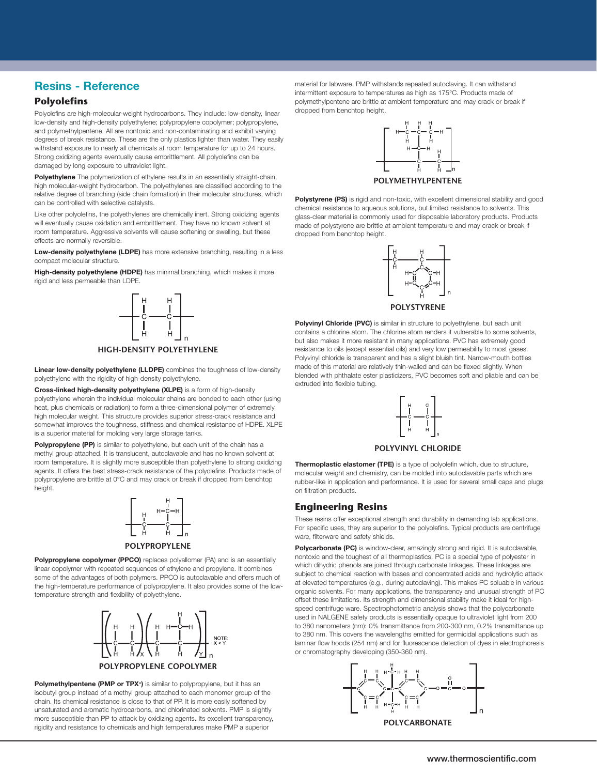# Resins - Reference<br>- <u>Chemical Resistance</u>

### **Polyolefins**

Strong oxidizing agents eventually cause embrittlement. All polyolefins can be Polyolefins are high-molecular-weight hydrocarbons. They include: low-density, linear low-density and high-density polyethylene; polypropylene copolymer; polypropylene, and polymethylpentene. All are nontoxic and non-contaminating and exhibit varying degrees of break resistance. These are the only plastics lighter than water. They easily withstand exposure to nearly all chemicals at room temperature for up to 24 hours. damaged by long exposure to ultraviolet light.

high molecular-weight hydrocarbon. The polyethylenes are classified according to the **Example 1999 POLYMETHYLPENTENE** Ite of Dianching Islae chain formation) in their molecular structures, which<br>The light of the stability and good and what are allowed to provide **Polystyrene (PS)** is rigid and non-toxic, with excellent dimensional stabili **Polyethylene** The polymerization of ethylene results in an essentially straight-chain, relative degree of branching (side chain formation) in their molecular structures, which can be controlled with selective catalysts.

Like other polyolefins, the polyethylenes are chemically inert. Strong oxidizing agents will eventually cause oxidation and embrittlement. They have no known solvent at room temperature. Aggressive solvents will cause softening or swelling, but these dropped from benchtop height. effects are normally reversible.

1-Phenylethanone, pure S M U M M U U U U M S M U **Low-density polyethylene (LDPE)** has more extensive branching, resulting in a less nolecular structure.  $\begin{array}{ccc} \hline \uparrow & \downarrow & \downarrow \end{array}$ compact molecular structure.

High-density polyethylene (HDPE) has minimal branching, which makes it more<br>which and has a semi-able than LDDE rigid and less permeable than LDPE.



polyethylene with the rigidity of high-density polyethylene. The contract of the polyethylene with phimalate ester plasticizers, PVC becomes soft and pliable and car **Linear low-density polyethylene (LLDPE)** combines the toughness of low-density

**Cross-linked high-density polyethylene (XLPE)** is a form of high-density **Example 2** and the state of the state of the state of the state of the state of the state of the state of the state of the state of the state of th heat, plus chemicals or radiation) to form a three-dimensional polymer of extremely and the statemely statemely statemely 2-Propanone, pure S M U U M U U U U M M U U high molecular weight. This structure provides superior stress-crack resistance and is a superior material for molding very large storage tanks.  $\begin{bmatrix} 1 & 1 \end{bmatrix}$   $\begin{bmatrix} 1 & 1 \end{bmatrix}$   $\begin{bmatrix} 1 & 1 \end{bmatrix}$ polyethylene wherein the individual molecular chains are bonded to each other (using somewhat improves the toughness, stiffness and chemical resistance of HDPE. XLPE

Polypropylene (PP) is similar to polyethylene, but each unit of the chain has a **Figure 10 M U D V D V V V D D V V U D D U V V U D D L** ...co...y. group successes and construct on the matter of the matter of the matter of the matter of the strong or the matter of the strong or the strong or the strong or the matter of the strong or the strong or the strong methyl group attached. It is translucent, autoclavable and has no known solvent at agents. It offers the best stress-crack resistance of the polyolefins. Products made of polypropylene are brittle at 0°C and may crack or break if dropped from benchtop height.



**POLYPROPYLENE**

linear copolymer with repeated sequences of ethylene and propylene. It combines which dinydric phenois are joined through carbonate linkages. These linkages a **Polypropylene copolymer (PPCO)** replaces polyallomer (PA) and is an essentially some of the advantages of both polymers. PPCO is autoclavable and offers much of the high-temperature performance of polypropylene. It also provides some of the lowtemperature strength and flexibility of polyethylene.



**Polymethylpentene (PMP or TPX+)** is similar to polypropylene, but it has an isobutyi group instead or a methyl group attached to each monomer group or tr<br>chain. Its chemical resistance is close to that of PP. It is more easily softened by unsaturated and aromatic hydrocarbons, and chlorinated solvents. PMP is slightly  $\begin{bmatrix} 1 & 1 & 1 \\ 1 & 1 & 1 \end{bmatrix}$   $\begin{bmatrix} 1 & 1 & 1 \\ 1 & 1 & 1 \end{bmatrix}$ more susceptible than PP to attack by oxidizing agents. Its excellent transparency, isobutyl group instead of a methyl group attached to each monomer group of the rigidity and resistance to chemicals and high temperatures make PMP a superior

material for labware. PMP withstands repeated autoclaving. It can withstand intermittent exposure to temperatures as high as 175°C. Products made of polymethylpentene are brittle at ambient temperature and may crack or break if dropped from benchtop height.



**POLYMETHYLPENTENE**

chemical resistance to aqueous solutions, but limited resistance to solvents. This glass-clear material is commonly used for disposable laboratory products. Products made of polystyrene are brittle at ambient temperature and may crack or break if dropped from benchtop height.





S M U M M U U U U M S2 M U **Polyvinyl Chloride (PVC)** is similar in structure to polyethylene, but each unit **HIGH-DENSITY POLYETHYLENE** resistance to oils (except essential oils) and very low permeability to most gases. w density pelvethylens (I LDDE) combined the tour begas of low density. Thade of this material are relatively thin-walled and can be flexed slightly. When contains a chlorine atom. The chlorine atom renders it vulnerable to some solvents, but also makes it more resistant in many applications. PVC has extremely good Polyvinyl chloride is transparent and has a slight bluish tint. Narrow-mouth bottles blended with phthalate ester plasticizers, PVC becomes soft and pliable and can be extruded into flexible tubing.



#### **POLYVINYL CHLORIDE**

offers the best stress-crack resistance of the polyolefins. Products made of a molecular weight and chemistry, can be molded into autoclavable parts which are ene are britte at 0°C and may crack or break if dropped from benchtop entities in application and performance. It is used for several small caps and plugs and plugs and plugs entity of fittering products **Thermoplastic elastomer (TPE)** is a type of polyolefin which, due to structure, on filtration products.

## **Engineering Resins**

**NALGENE® Brand Products • 1-800-625-4327 • www.NALGENElabware.com 217**

H-C-H<br>
H U U U U U U U These resins offer exceptional strength and durability in demanding lab applications. Acetone, pure S M U U M U U U U M S2 U U For specific uses, they are superior to the polyolefins. Typical products are centrifuge ware, filterware and safety shields.

wate, intervale and safety shedds.<br>**POLYPROPYLENE Polycarbonate (PC)** is window-clear, amazingly strong and rigid. It is autoclavable, Actor constitution (PRCO) is please not religions (PA) and is an essentially nontoxic and the toughest of all thermoplastics. PC is a special type of polyester in re auvailages of boun pure seconds – records and one of the low at elevated temperatures (e.g., during autoclaving). This makes PC soluable in various organic solvents. For many applications, the transparency and dimensional stability of polyethylene.<br>Offset these limitations. Its strength and dimensional stability make it ideal for high-**Ally Alcohol, pure S** S S Seed centrifuge ware. Spectrophotometric analysis shows that the polycarbonate  $\begin{bmatrix} A & A \end{bmatrix}$   $\begin{bmatrix} A & B \end{bmatrix}$   $\begin{bmatrix} A & B \end{bmatrix}$  to 380 nanometers (nm): 0% transmittance from 200-300 nm, 0.2% transmittance up Aluminum Hydrate, pure S S80 nm. This covers the wavelengths emitted for germicidal applications such as  $\begin{bmatrix} 1 & 1 \end{bmatrix}$   $\begin{bmatrix} 1 & 1 \end{bmatrix}$   $\begin{bmatrix} 1 & 1 \end{bmatrix}$   $\begin{bmatrix} 1 & 1 \end{bmatrix}$  or chromatography developing (350-360 nm). which dihydric phenols are joined through carbonate linkages. These linkages are subject to chemical reaction with bases and concentrated acids and hydrolytic attack organic solvents. For many applications, the transparency and unusual strength of PC used in NALGENE safety products is essentially opaque to ultraviolet light from 200 laminar flow hoods (254 nm) and for fluorescence detection of dyes in electrophoresis